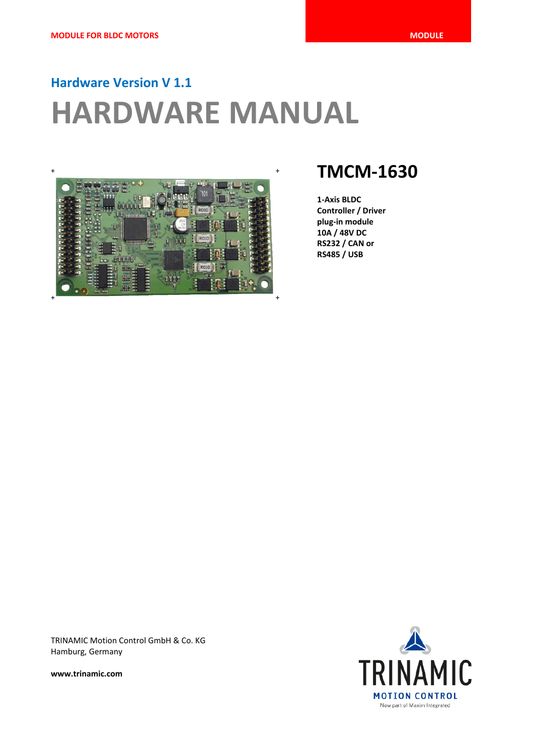# **Hardware Version V 1.1 HARDWARE MANUAL**



**1-Axis BLDC Controller / Driver plug-in module 10A / 48V DC RS232 / CAN or RS485 / USB**

TRINAMIC Motion Control GmbH & Co. KG Hamburg, Germany

**www.trinamic.com**

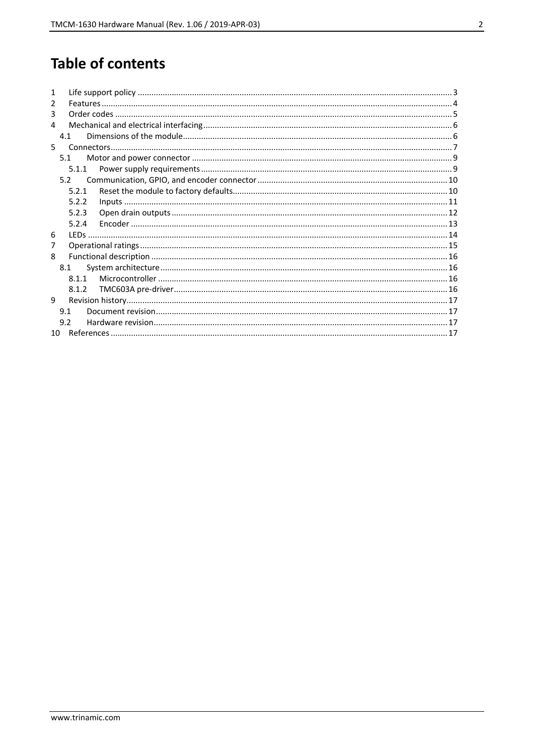# **Table of contents**

| 1             |       |  |
|---------------|-------|--|
| $\mathcal{P}$ |       |  |
| 3             |       |  |
| 4             |       |  |
|               | 41    |  |
| 5             |       |  |
|               | 5.1   |  |
|               | 5.1.1 |  |
|               | 52    |  |
|               | 5.2.1 |  |
|               | 5.2.2 |  |
|               | 5.2.3 |  |
|               | 5.2.4 |  |
| 6             |       |  |
| 7             |       |  |
| 8             |       |  |
|               | 8.1   |  |
|               | 811   |  |
|               | 8.1.2 |  |
| q             |       |  |
|               | 9.1   |  |
|               | 9.2   |  |
| $10-10$       |       |  |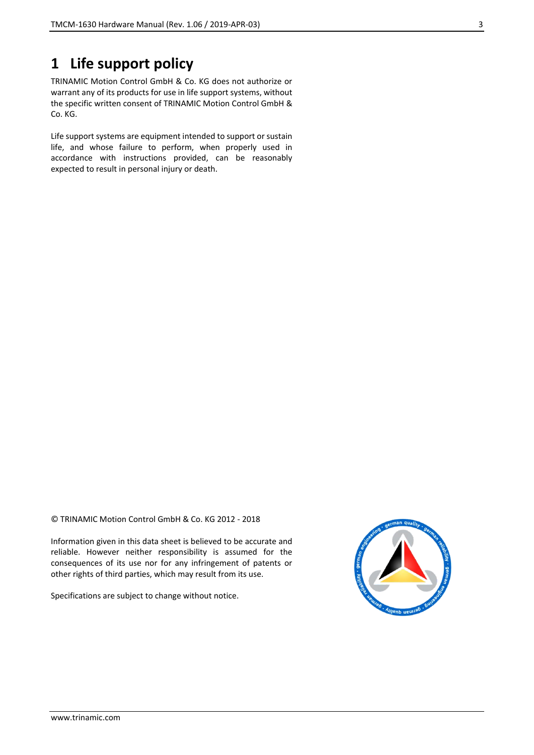### **1 Life support policy**

TRINAMIC Motion Control GmbH & Co. KG does not authorize or warrant any of its products for use in life support systems, without the specific written consent of TRINAMIC Motion Control GmbH & Co. KG.

Life support systems are equipment intended to support or sustain life, and whose failure to perform, when properly used in accordance with instructions provided, can be reasonably expected to result in personal injury or death.

© TRINAMIC Motion Control GmbH & Co. KG 2012 - 2018

Information given in this data sheet is believed to be accurate and reliable. However neither responsibility is assumed for the consequences of its use nor for any infringement of patents or other rights of third parties, which may result from its use.

Specifications are subject to change without notice.

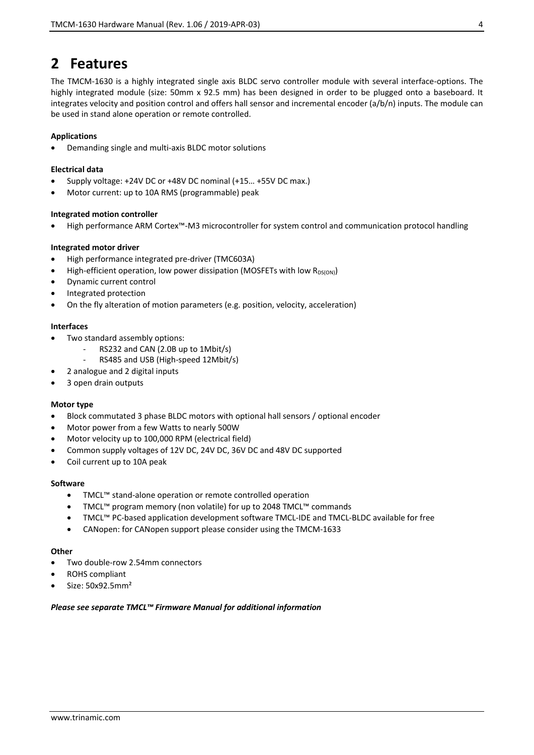### **2 Features**

The TMCM-1630 is a highly integrated single axis BLDC servo controller module with several interface-options. The highly integrated module (size: 50mm x 92.5 mm) has been designed in order to be plugged onto a baseboard. It integrates velocity and position control and offers hall sensor and incremental encoder (a/b/n) inputs. The module can be used in stand alone operation or remote controlled.

#### **Applications**

• Demanding single and multi-axis BLDC motor solutions

#### **Electrical data**

- Supply voltage: +24V DC or +48V DC nominal (+15… +55V DC max.)
- Motor current: up to 10A RMS (programmable) peak

#### **Integrated motion controller**

• High performance ARM Cortex™-M3 microcontroller for system control and communication protocol handling

#### **Integrated motor driver**

- High performance integrated pre-driver (TMC603A)
- High-efficient operation, low power dissipation (MOSFETs with low  $R_{DS(ON)}$ )
- Dynamic current control
- Integrated protection
- On the fly alteration of motion parameters (e.g. position, velocity, acceleration)

#### **Interfaces**

- Two standard assembly options:
	- RS232 and CAN (2.0B up to 1Mbit/s)
	- RS485 and USB (High-speed 12Mbit/s)
- 2 analogue and 2 digital inputs
- 3 open drain outputs

#### **Motor type**

- Block commutated 3 phase BLDC motors with optional hall sensors / optional encoder
- Motor power from a few Watts to nearly 500W
- Motor velocity up to 100,000 RPM (electrical field)
- Common supply voltages of 12V DC, 24V DC, 36V DC and 48V DC supported
- Coil current up to 10A peak

#### **Software**

- TMCL™ stand-alone operation or remote controlled operation
- TMCL™ program memory (non volatile) for up to 2048 TMCL™ commands
- TMCL™ PC-based application development software TMCL-IDE and TMCL-BLDC available for free
- CANopen: for CANopen support please consider using the TMCM-1633

#### **Other**

- Two double-row 2.54mm connectors
- ROHS compliant
- Size: 50x92.5mm²

#### *Please see separate TMCL™ Firmware Manual for additional information*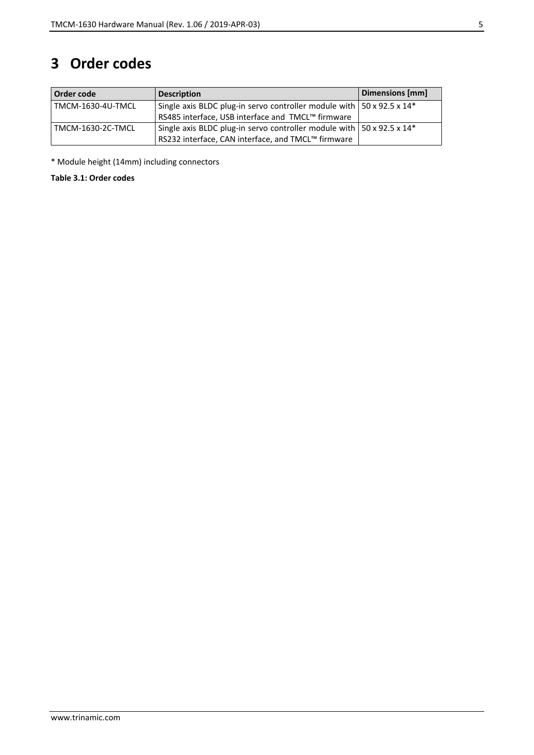## **3 Order codes**

| Order code        | <b>Description</b>                                                                        | Dimensions [mm] |
|-------------------|-------------------------------------------------------------------------------------------|-----------------|
| TMCM-1630-4U-TMCL | Single axis BLDC plug-in servo controller module with $\frac{1}{2}$ 50 x 92.5 x 14*       |                 |
|                   | RS485 interface, USB interface and TMCL™ firmware                                         |                 |
| TMCM-1630-2C-TMCL | Single axis BLDC plug-in servo controller module with $\vert$ 50 x 92.5 x 14 <sup>*</sup> |                 |
|                   | RS232 interface, CAN interface, and TMCL™ firmware                                        |                 |

\* Module height (14mm) including connectors

**Table 3.1: Order codes**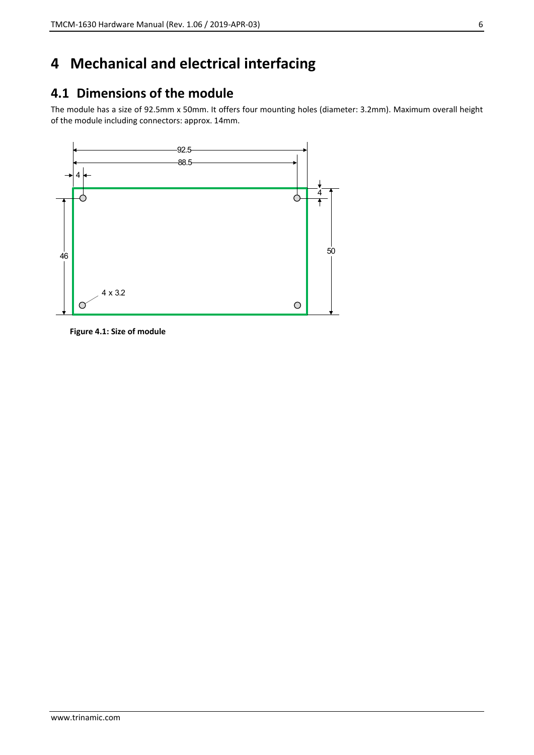# **4 Mechanical and electrical interfacing**

### **4.1 Dimensions of the module**

The module has a size of 92.5mm x 50mm. It offers four mounting holes (diameter: 3.2mm). Maximum overall height of the module including connectors: approx. 14mm.



**Figure 4.1: Size of module**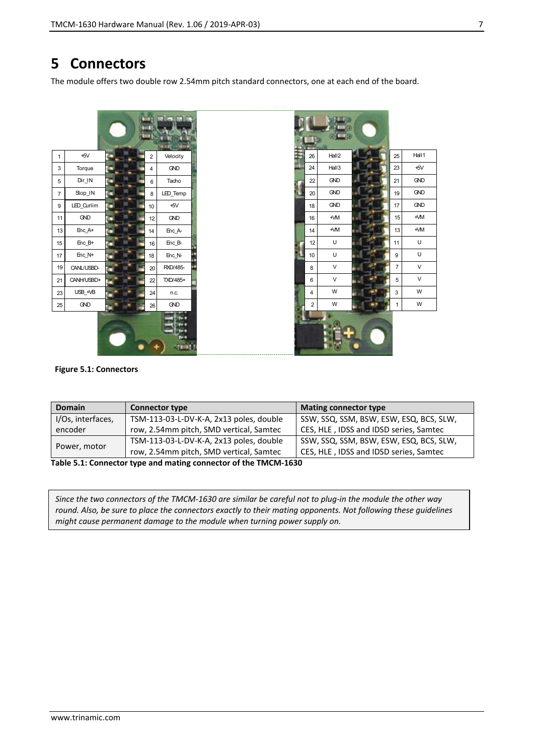### **5 Connectors**

The module offers two double row 2.54mm pitch standard connectors, one at each end of the board.





#### **Figure 5.1: Connectors**

| <b>Domain</b>                                                   | <b>Connector type</b>                   | <b>Mating connector type</b>            |  |  |  |  |
|-----------------------------------------------------------------|-----------------------------------------|-----------------------------------------|--|--|--|--|
| I/Os, interfaces,                                               | TSM-113-03-L-DV-K-A, 2x13 poles, double | SSW, SSQ, SSM, BSW, ESW, ESQ, BCS, SLW, |  |  |  |  |
| encoder                                                         | row, 2.54mm pitch, SMD vertical, Samtec | CES, HLE, IDSS and IDSD series, Samtec  |  |  |  |  |
|                                                                 | TSM-113-03-L-DV-K-A, 2x13 poles, double | SSW, SSQ, SSM, BSW, ESW, ESQ, BCS, SLW, |  |  |  |  |
| Power, motor                                                    | row, 2.54mm pitch, SMD vertical, Samtec | CES, HLE, IDSS and IDSD series, Samtec  |  |  |  |  |
| Table E 1: Connector tune and mating connector of the TMCM 1620 |                                         |                                         |  |  |  |  |

**Table 5.1: Connector type and mating connector of the TMCM-1630**

*Since the two connectors of the TMCM-1630 are similar be careful not to plug-in the module the other way round. Also, be sure to place the connectors exactly to their mating opponents. Not following these guidelines might cause permanent damage to the module when turning power supply on.*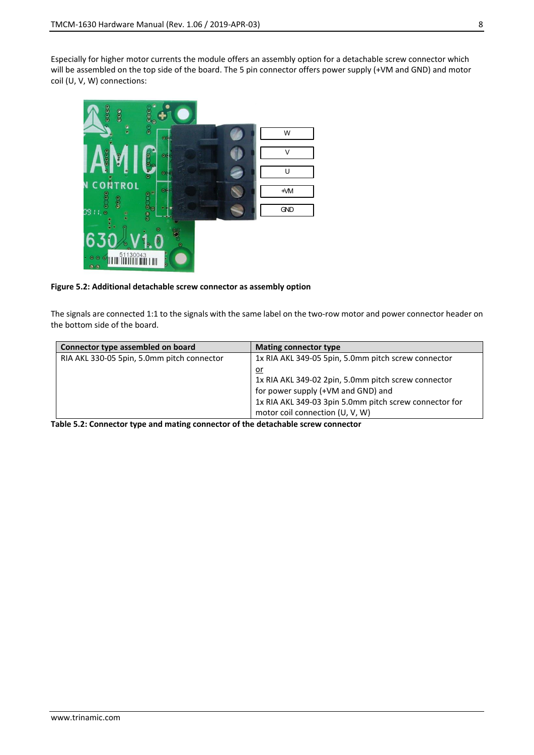Especially for higher motor currents the module offers an assembly option for a detachable screw connector which will be assembled on the top side of the board. The 5 pin connector offers power supply (+VM and GND) and motor coil (U, V, W) connections:



#### **Figure 5.2: Additional detachable screw connector as assembly option**

The signals are connected 1:1 to the signals with the same label on the two-row motor and power connector header on the bottom side of the board.

| Connector type assembled on board          | <b>Mating connector type</b>                                                                                                                                                                        |
|--------------------------------------------|-----------------------------------------------------------------------------------------------------------------------------------------------------------------------------------------------------|
| RIA AKL 330-05 5pin, 5.0mm pitch connector | 1x RIA AKL 349-05 5pin, 5.0mm pitch screw connector                                                                                                                                                 |
|                                            | <u>or</u><br>1x RIA AKL 349-02 2pin, 5.0mm pitch screw connector<br>for power supply (+VM and GND) and<br>1x RIA AKL 349-03 3pin 5.0mm pitch screw connector for<br>motor coil connection (U, V, W) |

**Table 5.2: Connector type and mating connector of the detachable screw connector**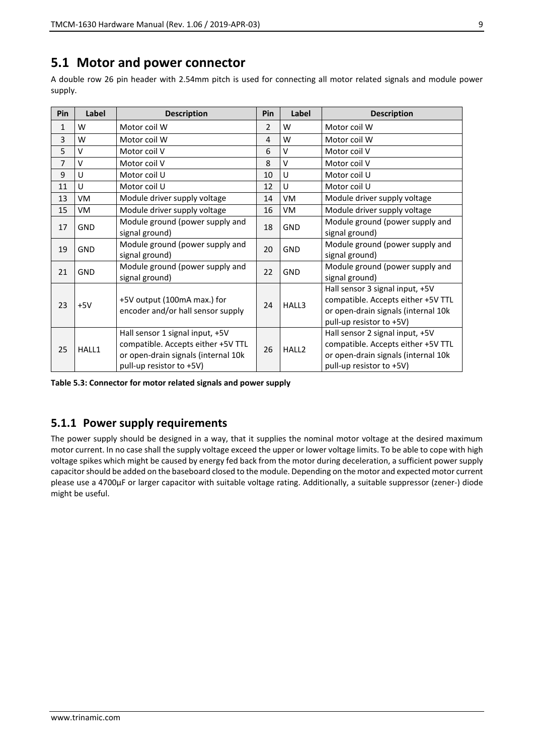### **5.1 Motor and power connector**

A double row 26 pin header with 2.54mm pitch is used for connecting all motor related signals and module power supply.

| Pin            | Label      | <b>Description</b>                                                                                                                       | Pin | Label             | <b>Description</b>                                                                                                                       |
|----------------|------------|------------------------------------------------------------------------------------------------------------------------------------------|-----|-------------------|------------------------------------------------------------------------------------------------------------------------------------------|
| 1              | W          | Motor coil W                                                                                                                             |     | W                 | Motor coil W                                                                                                                             |
| 3              | W          | Motor coil W                                                                                                                             |     | W                 | Motor coil W                                                                                                                             |
| 5              | v          | Motor coil V                                                                                                                             | 6   | $\vee$            | Motor coil V                                                                                                                             |
| $\overline{7}$ | v          | Motor coil V                                                                                                                             | 8   | $\vee$            | Motor coil V                                                                                                                             |
| 9              | U          | Motor coil U                                                                                                                             | 10  | U                 | Motor coil U                                                                                                                             |
| 11             | U          | Motor coil U                                                                                                                             | 12  | $\cup$            | Motor coil U                                                                                                                             |
| 13             | VM         | Module driver supply voltage                                                                                                             | 14  | VM                | Module driver supply voltage                                                                                                             |
| 15             | VM         | Module driver supply voltage                                                                                                             | 16  | VM                | Module driver supply voltage                                                                                                             |
| 17             | <b>GND</b> | Module ground (power supply and<br>signal ground)                                                                                        |     | <b>GND</b>        | Module ground (power supply and<br>signal ground)                                                                                        |
| 19             | <b>GND</b> | Module ground (power supply and<br>signal ground)                                                                                        | 20  | <b>GND</b>        | Module ground (power supply and<br>signal ground)                                                                                        |
| 21             | <b>GND</b> | Module ground (power supply and<br>signal ground)                                                                                        | 22  | <b>GND</b>        | Module ground (power supply and<br>signal ground)                                                                                        |
| 23             | $+5V$      | +5V output (100mA max.) for<br>encoder and/or hall sensor supply                                                                         | 24  | HALL3             | Hall sensor 3 signal input, +5V<br>compatible. Accepts either +5V TTL<br>or open-drain signals (internal 10k<br>pull-up resistor to +5V) |
| 25             | HALL1      | Hall sensor 1 signal input, +5V<br>compatible. Accepts either +5V TTL<br>or open-drain signals (internal 10k<br>pull-up resistor to +5V) | 26  | HALL <sub>2</sub> | Hall sensor 2 signal input, +5V<br>compatible. Accepts either +5V TTL<br>or open-drain signals (internal 10k<br>pull-up resistor to +5V) |

**Table 5.3: Connector for motor related signals and power supply**

#### **5.1.1 Power supply requirements**

The power supply should be designed in a way, that it supplies the nominal motor voltage at the desired maximum motor current. In no case shall the supply voltage exceed the upper or lower voltage limits. To be able to cope with high voltage spikes which might be caused by energy fed back from the motor during deceleration, a sufficient power supply capacitor should be added on the baseboard closed to the module. Depending on the motor and expected motor current please use a 4700µF or larger capacitor with suitable voltage rating. Additionally, a suitable suppressor (zener-) diode might be useful.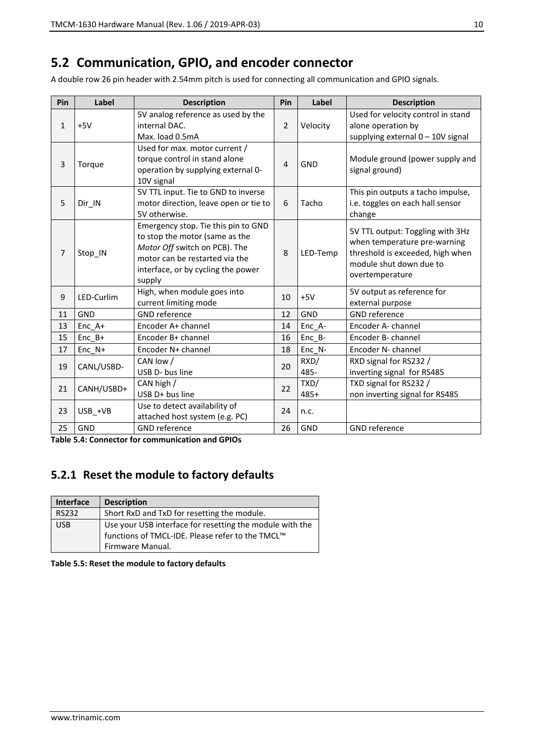### **5.2 Communication, GPIO, and encoder connector**

A double row 26 pin header with 2.54mm pitch is used for connecting all communication and GPIO signals.

| Pin            | Label      | <b>Description</b>                                                                                                                                                                       | Pin            | Label        | <b>Description</b>                                                                                                                                 |
|----------------|------------|------------------------------------------------------------------------------------------------------------------------------------------------------------------------------------------|----------------|--------------|----------------------------------------------------------------------------------------------------------------------------------------------------|
| $\mathbf{1}$   | $+5V$      | 5V analog reference as used by the<br>internal DAC.<br>Max. load 0.5mA                                                                                                                   | 2              | Velocity     | Used for velocity control in stand<br>alone operation by<br>supplying external 0 - 10V signal                                                      |
| 3              | Torque     | Used for max. motor current /<br>torque control in stand alone<br>operation by supplying external 0-<br>10V signal                                                                       | $\overline{4}$ | <b>GND</b>   | Module ground (power supply and<br>signal ground)                                                                                                  |
| 5              | Dir IN     | 5V TTL input. Tie to GND to inverse<br>motor direction, leave open or tie to<br>5V otherwise.                                                                                            | 6              | Tacho        | This pin outputs a tacho impulse,<br>i.e. toggles on each hall sensor<br>change                                                                    |
| $\overline{7}$ | Stop_IN    | Emergency stop. Tie this pin to GND<br>to stop the motor (same as the<br>Motor Off switch on PCB). The<br>motor can be restarted via the<br>interface, or by cycling the power<br>supply | 8              | LED-Temp     | 5V TTL output: Toggling with 3Hz<br>when temperature pre-warning<br>threshold is exceeded, high when<br>module shut down due to<br>overtemperature |
| 9              | LED-Curlim | High, when module goes into<br>current limiting mode                                                                                                                                     | 10             | $+5V$        | 5V output as reference for<br>external purpose                                                                                                     |
| 11             | <b>GND</b> | <b>GND</b> reference                                                                                                                                                                     | 12             | <b>GND</b>   | <b>GND</b> reference                                                                                                                               |
| 13             | Enc A+     | Encoder A+ channel                                                                                                                                                                       | 14             | Enc A-       | Encoder A- channel                                                                                                                                 |
| 15             | Enc B+     | Encoder B+ channel                                                                                                                                                                       | 16             | Enc B-       | Encoder B- channel                                                                                                                                 |
| 17             | $Enc_N+$   | Encoder N+ channel                                                                                                                                                                       | 18             | Enc_N-       | Encoder N- channel                                                                                                                                 |
| 19             | CANL/USBD- | CAN low /<br>USB D- bus line                                                                                                                                                             | 20             | RXD/<br>485- | RXD signal for RS232 /<br>inverting signal for RS485                                                                                               |
| 21             | CANH/USBD+ | CAN high /<br>USB D+ bus line                                                                                                                                                            | 22             | TXD/<br>485+ | TXD signal for RS232 /<br>non inverting signal for RS485                                                                                           |
| 23             | USB_+VB    | Use to detect availability of<br>attached host system (e.g. PC)                                                                                                                          | 24             | n.c.         |                                                                                                                                                    |
| 25             | GND        | <b>GND</b> reference                                                                                                                                                                     | 26             | GND          | <b>GND</b> reference                                                                                                                               |

**Table 5.4: Connector for communication and GPIOs**

### **5.2.1 Reset the module to factory defaults**

| <b>Interface</b> | <b>Description</b>                                                                                                               |
|------------------|----------------------------------------------------------------------------------------------------------------------------------|
| <b>RS232</b>     | Short RxD and TxD for resetting the module.                                                                                      |
| <b>USB</b>       | Use your USB interface for resetting the module with the<br>functions of TMCL-IDE. Please refer to the TMCL™<br>Firmware Manual. |

**Table 5.5: Reset the module to factory defaults**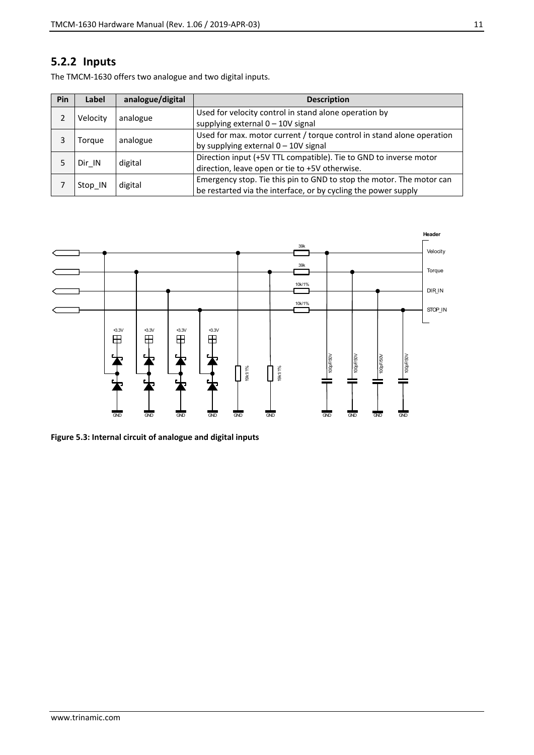#### **5.2.2 Inputs**

The TMCM-1630 offers two analogue and two digital inputs.

| Pin | Label    | analogue/digital | <b>Description</b>                                                    |
|-----|----------|------------------|-----------------------------------------------------------------------|
|     | Velocity | analogue         | Used for velocity control in stand alone operation by                 |
|     |          |                  | supplying external $0 - 10V$ signal                                   |
| 3   | Torque   | analogue         | Used for max. motor current / torque control in stand alone operation |
|     |          |                  | by supplying external $0 - 10V$ signal                                |
|     |          | digital          | Direction input (+5V TTL compatible). Tie to GND to inverse motor     |
|     | Dir IN   |                  | direction, leave open or tie to +5V otherwise.                        |
|     |          |                  | Emergency stop. Tie this pin to GND to stop the motor. The motor can  |
|     | Stop IN  | digital          | be restarted via the interface, or by cycling the power supply        |



**Figure 5.3: Internal circuit of analogue and digital inputs**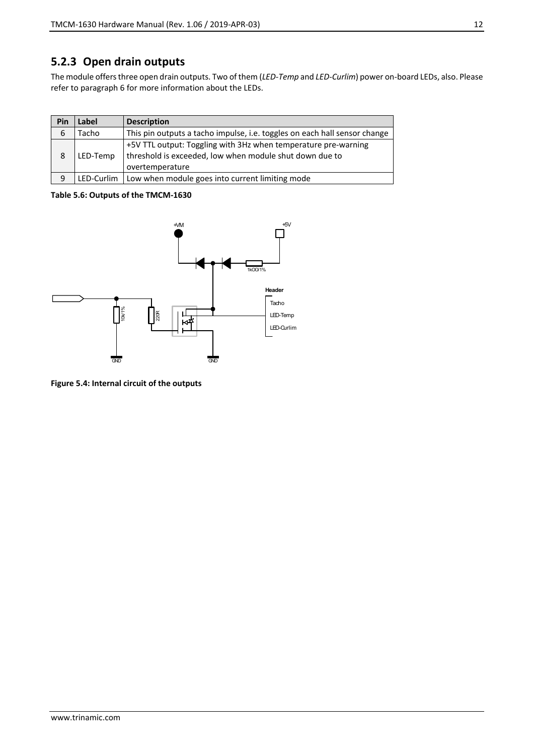### **5.2.3 Open drain outputs**

The module offers three open drain outputs. Two of them (*LED-Temp* and *LED-Curlim*) power on-board LEDs, also. Please refer to paragraph [6](#page-13-0) for more information about the LEDs.

| Pin | Label    | <b>Description</b>                                                                                                                           |
|-----|----------|----------------------------------------------------------------------------------------------------------------------------------------------|
| 6   | Tacho    | This pin outputs a tacho impulse, i.e. toggles on each hall sensor change                                                                    |
| 8   | LED-Temp | +5V TTL output: Toggling with 3Hz when temperature pre-warning<br>threshold is exceeded, low when module shut down due to<br>overtemperature |
| 9   |          | LED-Curlim   Low when module goes into current limiting mode                                                                                 |

**Table 5.6: Outputs of the TMCM-1630**



**Figure 5.4: Internal circuit of the outputs**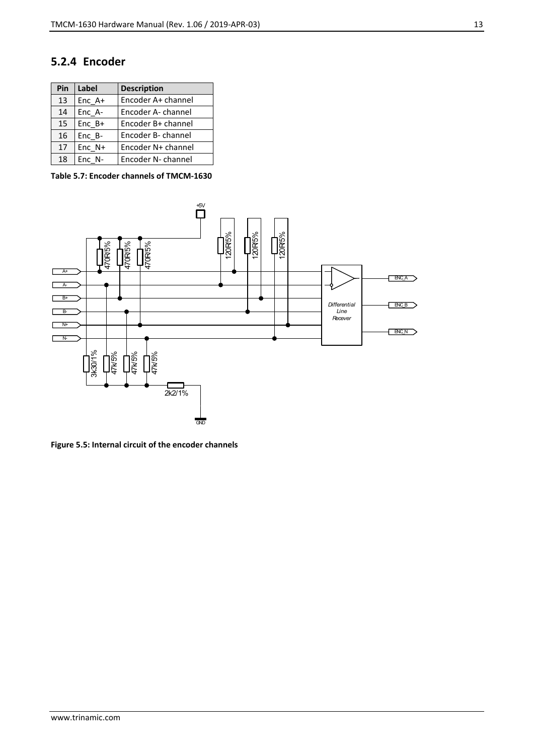#### **5.2.4 Encoder**

| Pin | <b>Label</b> | <b>Description</b> |
|-----|--------------|--------------------|
| 13  | Enc A+       | Encoder A+ channel |
| 14  | Enc A-       | Encoder A- channel |
| 15  | $Enc B+$     | Encoder B+ channel |
| 16  | $Enc_B-$     | Encoder B- channel |
| 17  | $Enc N+$     | Encoder N+ channel |
| 18  | Enc N-       | Encoder N- channel |

**Table 5.7: Encoder channels of TMCM-1630**



**Figure 5.5: Internal circuit of the encoder channels**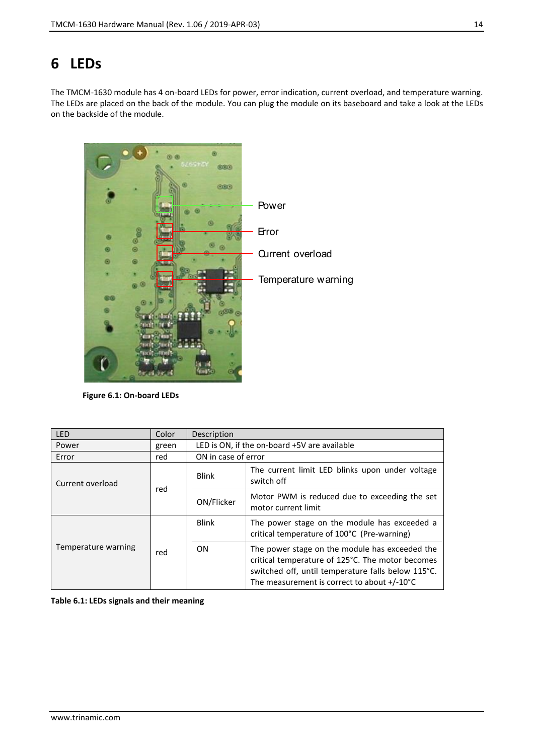# <span id="page-13-0"></span>**6 LEDs**

The TMCM-1630 module has 4 on-board LEDs for power, error indication, current overload, and temperature warning. The LEDs are placed on the back of the module. You can plug the module on its baseboard and take a look at the LEDs on the backside of the module.



**Figure 6.1: On-board LEDs**

| LED                 | Color | Description  |                                                                                                                                                                                                                   |  |  |  |
|---------------------|-------|--------------|-------------------------------------------------------------------------------------------------------------------------------------------------------------------------------------------------------------------|--|--|--|
| Power               | green |              | LED is ON, if the on-board +5V are available                                                                                                                                                                      |  |  |  |
| Error               | red   |              | ON in case of error                                                                                                                                                                                               |  |  |  |
| Current overload    | red   | Blink        | The current limit LED blinks upon under voltage<br>switch off                                                                                                                                                     |  |  |  |
|                     |       | ON/Flicker   | Motor PWM is reduced due to exceeding the set<br>motor current limit                                                                                                                                              |  |  |  |
|                     | red   | <b>Blink</b> | The power stage on the module has exceeded a<br>critical temperature of 100°C (Pre-warning)                                                                                                                       |  |  |  |
| Temperature warning |       | ON           | The power stage on the module has exceeded the<br>critical temperature of 125°C. The motor becomes<br>switched off, until temperature falls below 115°C.<br>The measurement is correct to about $+/-10^{\circ}$ C |  |  |  |

**Table 6.1: LEDs signals and their meaning**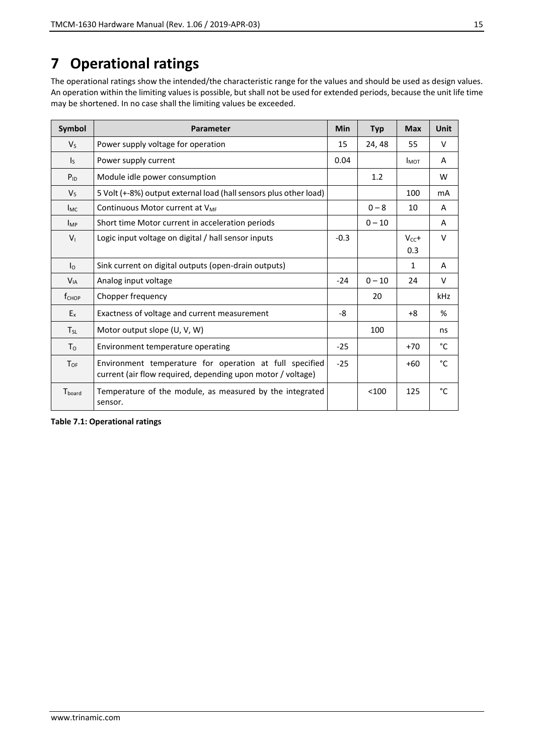# **7 Operational ratings**

The operational ratings show the intended/the characteristic range for the values and should be used as design values. An operation within the limiting values is possible, but shall not be used for extended periods, because the unit life time may be shortened. In no case shall the limiting values be exceeded.

| Symbol                  | Parameter                                                                                                              | Min    | <b>Typ</b> | <b>Max</b> | Unit |
|-------------------------|------------------------------------------------------------------------------------------------------------------------|--------|------------|------------|------|
| $V_{S}$                 | Power supply voltage for operation                                                                                     | 15     | 24, 48     | 55         | V    |
| $\mathsf{I}_\mathsf{S}$ | Power supply current                                                                                                   | 0.04   |            | $I_{MOT}$  | A    |
| $P_{ID}$                | Module idle power consumption                                                                                          |        | 1.2        |            | W    |
| V <sub>5</sub>          | 5 Volt (+-8%) output external load (hall sensors plus other load)                                                      |        |            | 100        | mA   |
| $I_{MC}$                | Continuous Motor current at V <sub>MF</sub>                                                                            |        | $0 - 8$    | 10         | A    |
| $I_{MP}$                | Short time Motor current in acceleration periods                                                                       |        | $0 - 10$   |            | A    |
| $V_{1}$                 | Logic input voltage on digital / hall sensor inputs                                                                    | $-0.3$ |            | $V_{CC}+$  | V    |
|                         |                                                                                                                        |        |            | 0.3        |      |
| I <sub>O</sub>          | Sink current on digital outputs (open-drain outputs)                                                                   |        |            | 1          | A    |
| $V_{IA}$                | Analog input voltage                                                                                                   | $-24$  | $0 - 10$   | 24         | V    |
| $f_{CHOP}$              | Chopper frequency                                                                                                      |        | 20         |            | kHz  |
| $E_{x}$                 | Exactness of voltage and current measurement                                                                           | -8     |            | $+8$       | %    |
| $T_{SL}$                | Motor output slope (U, V, W)                                                                                           |        | 100        |            | ns   |
| T <sub>o</sub>          | Environment temperature operating                                                                                      | $-25$  |            | $+70$      | °C   |
| $T_{OF}$                | Environment temperature for operation at full specified<br>current (air flow required, depending upon motor / voltage) | $-25$  |            | $+60$      | °C   |
| T <sub>board</sub>      | Temperature of the module, as measured by the integrated<br>sensor.                                                    |        | < 100      | 125        | °C   |

**Table 7.1: Operational ratings**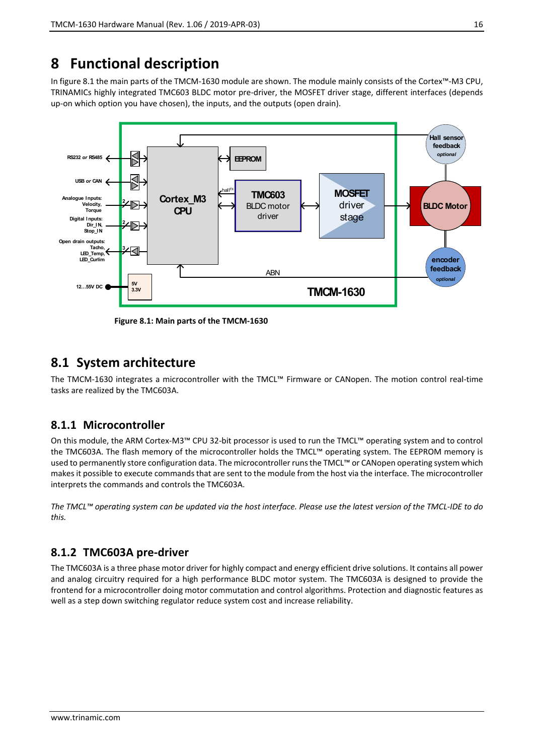# **8 Functional description**

In figure 8.1 the main parts of the TMCM-1630 module are shown. The module mainly consists of the Cortex™-M3 CPU, TRINAMICs highly integrated TMC603 BLDC motor pre-driver, the MOSFET driver stage, different interfaces (depends up-on which option you have chosen), the inputs, and the outputs (open drain).



**Figure 8.1: Main parts of the TMCM-1630**

### **8.1 System architecture**

The TMCM-1630 integrates a microcontroller with the TMCL™ Firmware or CANopen. The motion control real-time tasks are realized by the TMC603A.

#### **8.1.1 Microcontroller**

On this module, the ARM Cortex-M3™ CPU 32-bit processor is used to run the TMCL™ operating system and to control the TMC603A. The flash memory of the microcontroller holds the TMCL™ operating system. The EEPROM memory is used to permanently store configuration data. The microcontroller runs the TMCL™ or CANopen operating system which makes it possible to execute commands that are sent to the module from the host via the interface. The microcontroller interprets the commands and controls the TMC603A.

*The TMCL™ operating system can be updated via the host interface. Please use the latest version of the TMCL-IDE to do this.* 

#### **8.1.2 TMC603A pre-driver**

The TMC603A is a three phase motor driver for highly compact and energy efficient drive solutions. It contains all power and analog circuitry required for a high performance BLDC motor system. The TMC603A is designed to provide the frontend for a microcontroller doing motor commutation and control algorithms. Protection and diagnostic features as well as a step down switching regulator reduce system cost and increase reliability.